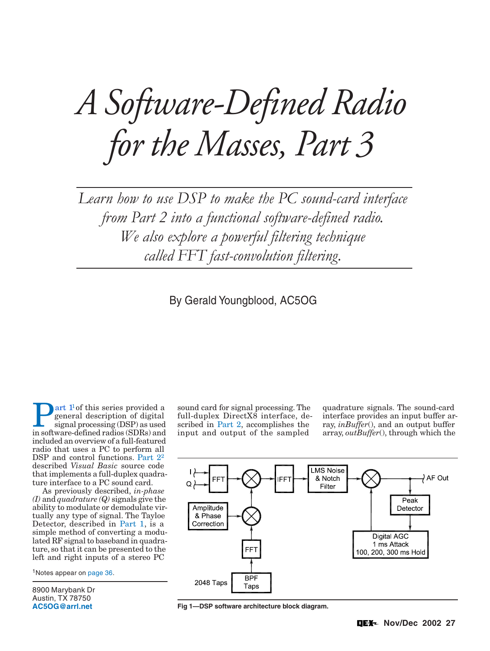# <span id="page-0-0"></span>*A Software-Defined Radio for the Masses, Part 3*

Learn how to use DSP to make the PC sound-card interface from Part 2 into a functional software-defined radio. We also explore a powerful filtering technique called FFT fast-convolution filtering.

By Gerald Youngblood, AC5OG

**[P](#page-14-0)[art 1](#page-14-0)[1](#page-9-0) of this series provided a**<br>
signal processing (DSP) as used<br>
in software-defined radios (SDRs) and general description of digital in software-defined radios (SDRs) and included an overview of a full-featured radio that uses a PC to perform all DSP and control functions. [Part 22](#page-11-0) described *Visual Basic* source code that implements a full-duplex quadrature interface to a PC sound card.

As previously described, *in-phase (I)* and *quadrature (Q)* signals give the ability to modulate or demodulate virtually any type of signal. The Tayloe Detector, described in [Part 1,](#page-14-0) is a simple method of converting a modulated RF signal to baseband in quadrature, so that it can be presented to the left and right inputs of a stereo PC

1Notes appear on [page 36.](#page-9-0)

8900 Marybank Dr Austin, TX 78750 **[AC5OG@arrl.net](mailto:AC5OG@arrl.net)**

sound card for signal processing. The full-duplex DirectX8 interface, described in [Part 2,](#page-11-0) accomplishes the input and output of the sampled

quadrature signals. The sound-card interface provides an input buffer array, *inBuffer*(), and an output buffer array, *outBuffer*(), through which the



**Fig 1—DSP software architecture block diagram.**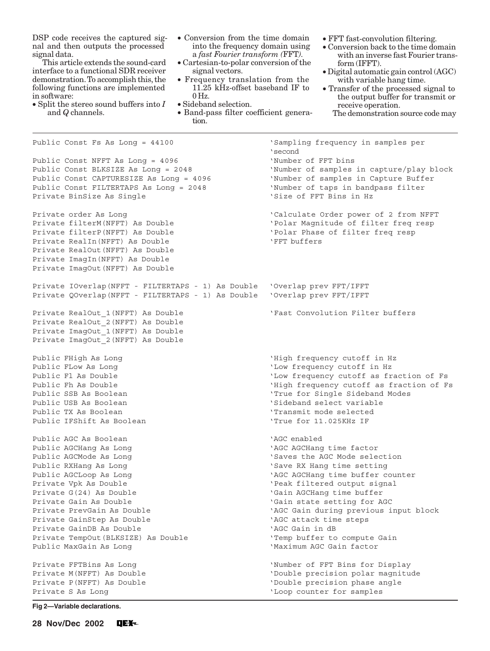<span id="page-1-0"></span>DSP code receives the captured signal and then outputs the processed signal data.

This article extends the sound-card interface to a functional SDR receiver demonstration. To accomplish this, the following functions are implemented in software:

- Split the stereo sound buffers into *I* and *Q* channels.
- Conversion from the time domain into the frequency domain using a *fast Fourier transform (*FFT*).*
- Cartesian-to-polar conversion of the signal vectors.
- Frequency translation from the 11.25 kHz-offset baseband IF to 0 Hz.
- Sideband selection.
- Band-pass filter coefficient generation.
- FFT fast-convolution filtering.
- Conversion back to the time domain with an inverse fast Fourier transform (IFFT).
- Digital automatic gain control (AGC) with variable hang time.
- Transfer of the processed signal to the output buffer for transmit or receive operation.
	- The demonstration source code may

Public Const Fs As Long = 44100 'Sampling frequency in samples per 'second Public Const NFFT As Long = 4096 'Number of FFT bins Public Const BLKSIZE As Long = 2048 'Number of samples in capture/play block Public Const CAPTURESIZE As Long = 4096 (Number of samples in Capture Buffer Public Const FILTERTAPS As Long = 2048 'Number of taps in bandpass filter Private BinSize As Single  $\overline{S}$  and  $\overline{S}$  is the set of FFT Bins in Hz Private order As Long 'Calculate Order power of 2 from NFFT Private filterM(NFFT) As Double 'Polar Magnitude of filter freq resp Private filterP(NFFT) As Double 'Polar Phase of filter freq resp Private RealIn(NFFT) As Double 'FFT buffers Private RealOut(NFFT) As Double Private ImagIn(NFFT) As Double Private ImagOut(NFFT) As Double Private IOverlap(NFFT - FILTERTAPS - 1) As Double 'Overlap prev FFT/IFFT Private QOverlap(NFFT - FILTERTAPS - 1) As Double 'Overlap prev FFT/IFFT Private RealOut\_1(NFFT) As Double 'Fast Convolution Filter buffers Private RealOut\_2(NFFT) As Double Private ImagOut\_1(NFFT) As Double Private ImagOut\_2(NFFT) As Double Public FHigh As Long  $'$ High frequency cutoff in Hz Public FLow As Long  $\sim$  'Low frequency cutoff in Hz Public Fl As Double  $\qquad$  'Low frequency cutoff as fraction of Fs Public Fh As Double  $'$  High frequency cutoff as fraction of Fs Public SSB As Boolean 'True for Single Sideband Modes Public USB As Boolean 'Sideband select variable Public TX As Boolean 'Transmit mode selected Public IFShift As Boolean 'True for 11.025KHz IF Public AGC As Boolean 'AGC enabled Public AGCHang As Long 'AGC AGCHang time factor Public AGCMode As Long  $\sim$  'Saves the AGC Mode selection Public RXHang As Long 'Save RX Hang time setting Public AGCLoop As Long 'AGC AGCHang time buffer counter Private Vpk As Double 'Peak filtered output signal Private G(24) As Double  $\overline{G}$  and  $\overline{G}$  and  $\overline{G}$  and  $\overline{G}$  and  $\overline{G}$  and  $\overline{G}$  and  $\overline{G}$  and  $\overline{G}$  and  $\overline{G}$  and  $\overline{G}$  and  $\overline{G}$  and  $\overline{G}$  and  $\overline{G}$  and  $\overline{G}$  and  $\overline{G}$  and  $\over$ Private Gain As Double  $\overline{G}$  and  $\overline{G}$  and  $\overline{G}$  and  $\overline{G}$  and  $\overline{G}$  and  $\overline{G}$  and  $\overline{G}$  and  $\overline{G}$  and  $\overline{G}$  and  $\overline{G}$  and  $\overline{G}$  and  $\overline{G}$  and  $\overline{G}$  and  $\overline{G}$  and  $\overline{G}$  and  $\overline$ Private PrevGain As Double 'AGC Gain during previous input block Private GainStep As Double 'AGC attack time steps Private GainDB As Double 'AGC Gain in dB Private TempOut(BLKSIZE) As Double 'Temp buffer to compute Gain Public MaxGain As Long **Washington Communist Constructs** 'Maximum AGC Gain factor Private FFTBins As Long The Second terms of FFT Bins for Display Private M(NFFT) As Double 'Double precision polar magnitude Private P(NFFT) As Double  $\blacksquare$ Private S As Long  $'$  Loop counter for samples

**Fig 2—Variable declarations.**

**28 Nov/Dec 2002**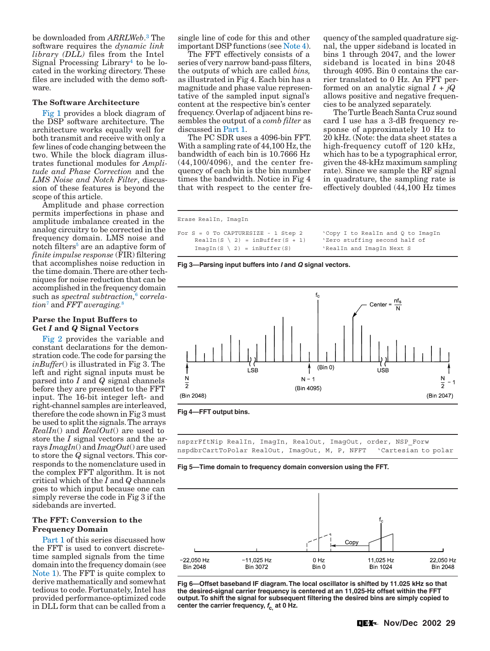<span id="page-2-0"></span>be downloaded from *ARRLWeb*. [3](#page-9-0) The software requires the *dynamic link library (DLL)* files from the Intel Signal Processing Library<sup>4</sup> to be located in the working directory. These files are included with the demo software.

### **The Software Architecture**

[Fig 1](#page-0-0) provides a block diagram of the DSP software architecture. The architecture works equally well for both transmit and receive with only a few lines of code changing between the two. While the block diagram illustrates functional modules for *Amplitude and Phase Correction* and the *LMS Noise and Notch Filter*, discussion of these features is beyond the scope of this article.

Amplitude and phase correction permits imperfections in phase and amplitude imbalance created in the analog circuitry to be corrected in the frequency domain. LMS noise and notch filters<sup>[5](#page-9-0)</sup> are an adaptive form of *finite impulse response* (FIR) filtering that accomplishes noise reduction in the time domain. There are other techniques for noise reduction that can be accomplished in the frequency domain such as *spectral subtraction*,<sup>[6](#page-9-0)</sup> correla*tion*[7](#page-9-0) and *FFT averaging.*[8](#page-9-0)

### **Parse the Input Buffers to Get** *I* **and** *Q* **Signal Vectors**

[Fig 2](#page-1-0) provides the variable and constant declarations for the demonstration code. The code for parsing the *inBuffer*() is illustrated in Fig 3. The left and right signal inputs must be parsed into *I* and *Q* signal channels before they are presented to the FFT input. The 16-bit integer left- and right-channel samples are interleaved, therefore the code shown in Fig 3 must be used to split the signals. The arrays *RealIn*() and *RealOut*() are used to store the *I* signal vectors and the arrays *ImagIn*() and *ImagOut*() are used to store the *Q* signal vectors. This corresponds to the nomenclature used in the complex FFT algorithm. It is not critical which of the *I* and *Q* channels goes to which input because one can simply reverse the code in Fig 3 if the sidebands are inverted.

## **The FFT: Conversion to the Frequency Domain**

[Part 1](#page-14-0) of this series discussed how the FFT is used to convert discretetime sampled signals from the time domain into the frequency domain (see [Note 1\)](#page-9-0). The FFT is quite complex to derive mathematically and somewhat tedious to code. Fortunately, Intel has provided performance-optimized code in DLL form that can be called from a single line of code for this and other important DSP functions (see [Note 4\)](#page-9-0).

The FFT effectively consists of a series of very narrow band-pass filters, the outputs of which are called *bins,* as illustrated in Fig 4. Each bin has a magnitude and phase value representative of the sampled input signal's content at the respective bin's center frequency. Overlap of adjacent bins resembles the output of a *comb filter* as discussed in [Part 1.](#page-14-0)

The PC SDR uses a 4096-bin FFT. With a sampling rate of 44,100 Hz, the bandwidth of each bin is 10.7666 Hz (44,100/4096), and the center frequency of each bin is the bin number times the bandwidth. Notice in Fig 4 that with respect to the center frequency of the sampled quadrature signal, the upper sideband is located in bins 1 through 2047, and the lower sideband is located in bins 2048 through 4095. Bin 0 contains the carrier translated to 0 Hz. An FFT performed on an analytic signal *I* + *jQ* allows positive and negative frequencies to be analyzed separately.

The Turtle Beach Santa Cruz sound card I use has a 3-dB frequency response of approximately 10 Hz to 20 kHz. (Note: the data sheet states a high-frequency cutoff of 120 kHz, which has to be a typographical error, given the 48-kHz maximum sampling rate). Since we sample the RF signal in quadrature, the sampling rate is effectively doubled (44,100 Hz times

Erase RealIn, ImagIn

```
For S = 0 To CAPTURESIZE - 1 Step 2 'Copy I to RealIn and Q to ImagIn 
    RealIn(S \ 2) = inBuffer(S + 1) 'Zero stuffing second half of
    ImagIn(S \setminus 2) = inBuffer(S) 'RealIn and ImagIn Next S
```
**Fig 3—Parsing input buffers into I and Q signal vectors.**





nspzrFftNip RealIn, ImagIn, RealOut, ImagOut, order, NSP\_Forw nspdbrCartToPolar RealOut, ImagOut, M, P, NFFT 'Cartesian to polar

**Fig 5—Time domain to frequency domain conversion using the FFT.**



**Fig 6—Offset baseband IF diagram. The local oscillator is shifted by 11.025 kHz so that the desired-signal carrier frequency is centered at an 11,025-Hz offset within the FFT output. To shift the signal for subsequent filtering the desired bins are simply copied to center the carrier frequency, fc, at 0 Hz.**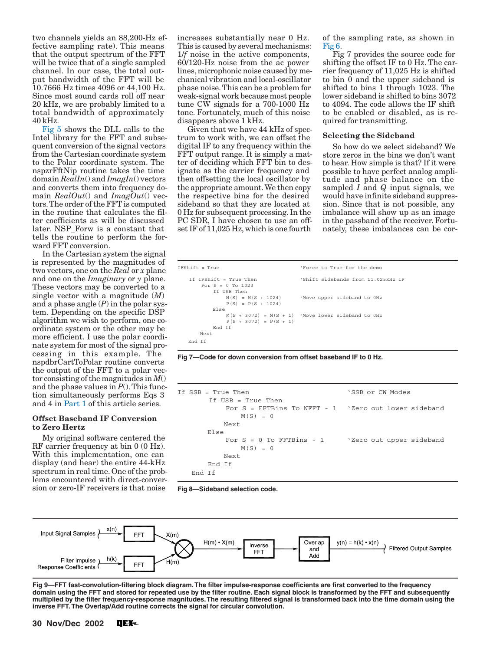<span id="page-3-0"></span>two channels yields an 88,200-Hz effective sampling rate). This means that the output spectrum of the FFT will be twice that of a single sampled channel. In our case, the total output bandwidth of the FFT will be 10.7666 Hz times 4096 or 44,100 Hz. Since most sound cards roll off near 20 kHz, we are probably limited to a total bandwidth of approximately 40 kHz.

[Fig 5](#page-2-0) shows the DLL calls to the Intel library for the FFT and subsequent conversion of the signal vectors from the Cartesian coordinate system to the Polar coordinate system. The nspzrFftNip routine takes the time domain *RealIn*() and *ImagIn*() vectors and converts them into frequency domain *RealOut*() and *ImagOut*() vectors. The order of the FFT is computed in the routine that calculates the filter coefficients as will be discussed later. NSP\_Forw is a constant that tells the routine to perform the forward FFT conversion.

In the Cartesian system the signal is represented by the magnitudes of two vectors, one on the *Real* or *x* plane and one on the *Imaginary* or *y* plane. These vectors may be converted to a single vector with a magnitude (*M*) and a phase angle (*P*) in the polar system. Depending on the specific DSP algorithm we wish to perform, one coordinate system or the other may be more efficient. I use the polar coordinate system for most of the signal processing in this example. The nspdbrCartToPolar routine converts the output of the FFT to a polar vector consisting of the magnitudes in *M*() and the phase values in  $P(.)$ . This function simultaneously performs Eqs 3 and 4 in [Part 1](#page-14-0) of this article series.

### **Offset Baseband IF Conversion to Zero Hertz**

My original software centered the RF carrier frequency at bin 0 (0 Hz). With this implementation, one can display (and hear) the entire 44-kHz spectrum in real time. One of the problems encountered with direct-conversion or zero-IF receivers is that noise

increases substantially near 0 Hz. This is caused by several mechanisms: 1/*f* noise in the active components, 60/120-Hz noise from the ac power lines, microphonic noise caused by mechanical vibration and local-oscillator phase noise. This can be a problem for weak-signal work because most people tune CW signals for a 700-1000 Hz tone. Fortunately, much of this noise disappears above 1 kHz.

Given that we have 44 kHz of spectrum to work with, we can offset the digital IF to any frequency within the FFT output range. It is simply a matter of deciding which FFT bin to designate as the carrier frequency and then offsetting the local oscillator by the appropriate amount. We then copy the respective bins for the desired sideband so that they are located at 0 Hz for subsequent processing. In the PC SDR, I have chosen to use an offset IF of 11,025 Hz, which is one fourth

of the sampling rate, as shown in [Fig 6.](#page-2-0) 

Fig 7 provides the source code for shifting the offset IF to 0 Hz. The carrier frequency of 11,025 Hz is shifted to bin 0 and the upper sideband is shifted to bins 1 through 1023. The lower sideband is shifted to bins 3072 to 4094. The code allows the IF shift to be enabled or disabled, as is required for transmitting.

### **Selecting the Sideband**

So how do we select sideband? We store zeros in the bins we don't want to hear. How simple is that? If it were possible to have perfect analog amplitude and phase balance on the sampled *I* and *Q* input signals, we would have infinite sideband suppression. Since that is not possible, any imbalance will show up as an image in the passband of the receiver. Fortunately, these imbalances can be cor-

```
IFShift = True 'Force to True for the demo 
    If IFShift = True Then 'Shift sidebands from 11.025KHz IF 
        For S = 0 To 1023 
            If USB Then 
                                        'Move upper sideband to 0Hz
               M(S) = M(S + 1024)<br>P(S) = P(S + 1024) Else 
               M(S + 3072) = M(S + 1) 'Move lower sideband to OHz
                P(S + 3072) = P(S + 1) End If 
        Next 
    End If
```
**Fig 7—Code for down conversion from offset baseband IF to 0 Hz.**

| If $SSB = True$ Then                                                          | 'SSB or CW Modes |  |
|-------------------------------------------------------------------------------|------------------|--|
| If USB = True Then<br>For $S = FFTBins$ To NFFT - 1 . Zero out lower sideband |                  |  |
| $M(S) = 0$                                                                    |                  |  |
| Next                                                                          |                  |  |
| Else                                                                          |                  |  |
| For $S = 0$ To FFTBins - 1 $\forall$ Zero out upper sideband                  |                  |  |
| $M(S) = 0$                                                                    |                  |  |
| Next                                                                          |                  |  |
| End If                                                                        |                  |  |
| End Tf                                                                        |                  |  |

**Fig 8—Sideband selection code.**



**Fig 9—FFT fast-convolution-filtering block diagram. The filter impulse-response coefficients are first converted to the frequency domain using the FFT and stored for repeated use by the filter routine. Each signal block is transformed by the FFT and subsequently multiplied by the filter frequency-response magnitudes. The resulting filtered signal is transformed back into the time domain using the inverse FFT. The Overlap/Add routine corrects the signal for circular convolution.**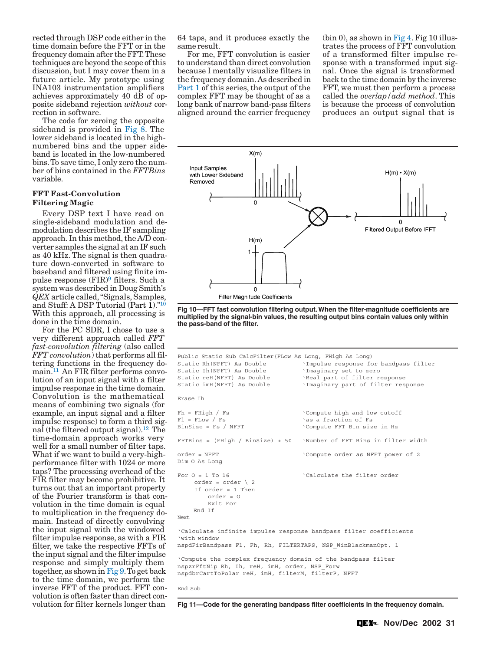<span id="page-4-0"></span>rected through DSP code either in the time domain before the FFT or in the frequency domain after the FFT. These techniques are beyond the scope of this discussion, but I may cover them in a future article. My prototype using INA103 instrumentation amplifiers achieves approximately 40 dB of opposite sideband rejection *without* correction in software.

The code for zeroing the opposite sideband is provided in [Fig 8.](#page-3-0) The lower sideband is located in the highnumbered bins and the upper sideband is located in the low-numbered bins. To save time, I only zero the number of bins contained in the *FFTBins* variable.

### **FFT Fast-Convolution Filtering Magic**

Every DSP text I have read on single-sideband modulation and demodulation describes the IF sampling approach. In this method, the A/D converter samples the signal at an IF such as 40 kHz. The signal is then quadrature down-converted in software to baseband and filtered using finite impulse response $(\mathrm{FIR})^9$  filters. Such a system was described in Doug Smith's *QEX* article called, "Signals, Samples, and Stuff: A DSP Tutorial (Part  $1$ )."<sup>[10](#page-9-0)</sup> With this approach, all processing is done in the time domain.

For the PC SDR, I chose to use a very different approach called *FFT fast-convolution filtering* (also called *FFT convolution*) that performs all filtering functions in the frequency domain.[11](#page-9-0) An FIR filter performs convolution of an input signal with a filter impulse response in the time domain. Convolution is the mathematical means of combining two signals (for example, an input signal and a filter impulse response) to form a third signal (the filtered output signal).[12](#page-9-0) The time-domain approach works very well for a small number of filter taps. What if we want to build a very-highperformance filter with 1024 or more taps? The processing overhead of the FIR filter may become prohibitive. It turns out that an important property of the Fourier transform is that convolution in the time domain is equal to multiplication in the frequency domain. Instead of directly convolving the input signal with the windowed filter impulse response, as with a FIR filter, we take the respective FFTs of the input signal and the filter impulse response and simply multiply them together, as shown in [Fig 9.](#page-3-0) To get back to the time domain, we perform the inverse FFT of the product. FFT convolution is often faster than direct convolution for filter kernels longer than

64 taps, and it produces exactly the same result.

For me, FFT convolution is easier to understand than direct convolution because I mentally visualize filters in the frequency domain. As described in [Part 1](#page-14-0) of this series, the output of the complex FFT may be thought of as a long bank of narrow band-pass filters aligned around the carrier frequency

 $(bin 0)$ , as shown in [Fig 4.](#page-2-0) Fig 10 illustrates the process of FFT convolution of a transformed filter impulse response with a transformed input signal. Once the signal is transformed back to the time domain by the inverse FFT, we must then perform a process called the *overlap/add method*. This is because the process of convolution produces an output signal that is



**Fig 10—FFT fast convolution filtering output. When the filter-magnitude coefficients are multiplied by the signal-bin values, the resulting output bins contain values only within the pass-band of the filter.**

```
Public Static Sub CalcFilter(FLow As Long, FHigh As Long) 
Static Rh(NFFT) As Double 'Impulse response for bandpass filter 
Static Ih(NFFT) As Double 'Imaginary set to zero 
Static reH(NFFT) As Double 'Real part of filter response 
Static imH(NFFT) As Double 'Imaginary part of filter response 
Erase Ih 
Fh = FHigh / Fs ' Compute high and low cutoff
Fl = FLow / Fs \overline{S} as a fraction of Fs
BinSize = Fs / NFFT \checkmark Compute FFT Bin size in Hz
FFTBins = (FHigh / BinSize) + 50 'Number of FFT Bins in filter width 
order = NFFT 'Compute order as NFFT power of 2 
Dim O As Long 
For 0 = 1 To 16 \qquad 'Calculate the filter order
    order = order \sqrt{2} If order = 1 Then 
         order = O 
         Exit For 
     End If 
Next 
'Calculate infinite impulse response bandpass filter coefficients 
'with window 
nspdFirBandpass Fl, Fh, Rh, FILTERTAPS, NSP_WinBlackmanOpt, 1 
'Compute the complex frequency domain of the bandpass filter 
nspzrFftNip Rh, Ih, reH, imH, order, NSP_Forw 
nspdbrCartToPolar reH, imH, filterM, filterP, NFFT 
End Sub
```
**Fig 11—Code for the generating bandpass filter coefficients in the frequency domain.**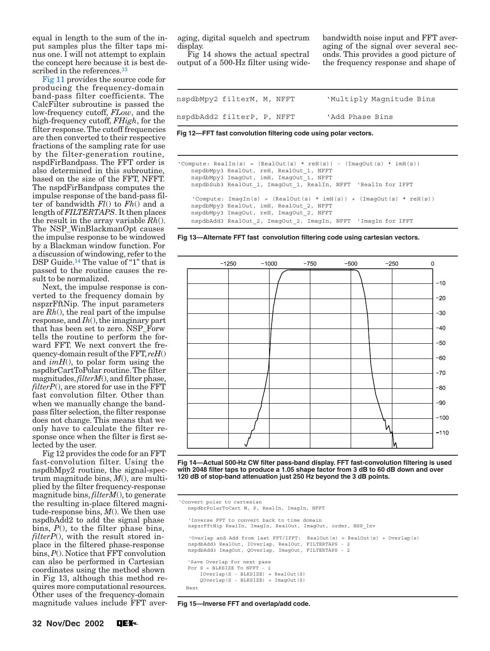<span id="page-5-0"></span>equal in length to the sum of the input samples plus the filter taps minus one. I will not attempt to explain the concept here because it is best de-scribed in the references.<sup>[13](#page-9-0)</sup>

[Fig 11](#page-4-0) provides the source code for producing the frequency-domain band-pass filter coefficients. The CalcFilter subroutine is passed the low-frequency cutoff, *FLow*, and the high-frequency cutoff, *FHigh*, for the filter response. The cutoff frequencies are then converted to their respective fractions of the sampling rate for use by the filter-generation routine, nspdFirBandpass. The FFT order is also determined in this subroutine, based on the size of the FFT, NFFT. The nspdFirBandpass computes the impulse response of the band-pass filter of bandwidth *Fl*() to *Fh*() and a length of *FILTERTAPS*. It then places the result in the array variable *Rh*(). The NSP\_WinBlackmanOpt causes the impulse response to be windowed by a Blackman window function. For a discussion of windowing, refer to the DSP Guide.<sup>14</sup> The value of "1" that is passed to the routine causes the result to be normalized.

Next, the impulse response is converted to the frequency domain by nspzrFftNip. The input parameters are *Rh*(), the real part of the impulse response, and *Ih*(), the imaginary part that has been set to zero. NSP\_Forw tells the routine to perform the forward FFT. We next convert the frequency-domain result of the FFT, *reH*() and *imH*(), to polar form using the nspdbrCartToPolar routine. The filter magnitudes, *filterM*(), and filter phase, *filterP*(), are stored for use in the FFT fast convolution filter. Other than when we manually change the bandpass filter selection, the filter response does not change. This means that we only have to calculate the filter response once when the filter is first selected by the user.

Fig 12 provides the code for an FFT fast-convolution filter. Using the nspdbMpy2 routine, the signal-spectrum magnitude bins, *M*(), are multiplied by the filter frequency-response magnitude bins, *filterM*(), to generate the resulting in-place filtered magnitude-response bins, *M*(). We then use nspdbAdd2 to add the signal phase bins, *P*(), to the filter phase bins, *filterP*(), with the result stored inplace in the filtered phase-response bins, *P*(). Notice that FFT convolution can also be performed in Cartesian coordinates using the method shown in Fig 13, although this method requires more computational resources. Other uses of the frequency-domain magnitude values include FFT aver-

aging, digital squelch and spectrum display.

Fig 14 shows the actual spectral output of a 500-Hz filter using widebandwidth noise input and FFT averaging of the signal over several seconds. This provides a good picture of the frequency response and shape of

| nspdbMpy2 filterM, M, NFFT |  | 'Multiply Magnitude Bins |
|----------------------------|--|--------------------------|
| nspdbAdd2 filterP, P, NFFT |  | 'Add Phase Bins          |

**Fig 12—FFT fast convolution filtering code using polar vectors.**

```
'Compute: RealIn(s) = (RealOut(s) * reH(s)) - (ImagOut(s) * imH(s)) nspdbMpy3 RealOut, reH, RealOut_1, NFFT 
    nspdbMpy3 ImagOut, imH, ImagOut_1, NFFT 
   nspdbSub3 RealOut 1, ImagOut 1, RealIn, NFFT 'RealIn for IFFT
    'Compute: ImagIn(s) = (RealOut(s) * imH(s)) + (ImagOut(s) * reH(s)) nspdbMpy3 RealOut, imH, RealOut_2, NFFT 
    nspdbMpy3 ImagOut, reH, ImagOut_2, NFFT 
    nspdbAdd3 RealOut_2, ImagOut_2, ImagIn, NFFT 'ImagIn for IFFT
```
**Fig 13—Alternate FFT fast convolution filtering code using cartesian vectors.**



**Fig 14—Actual 500-Hz CW filter pass-band display. FFT fast-convolution filtering is used with 2048 filter taps to produce a 1.05 shape factor from 3 dB to 60 dB down and over 120 dB of stop-band attenuation just 250 Hz beyond the 3 dB points.**

```
 'Convert polar to cartesian 
    nspdbrPolarToCart M, P, RealIn, ImagIn, NFFT 
     'Inverse FFT to convert back to time domain 
     nspzrFftNip RealIn, ImagIn, RealOut, ImagOut, order, NSP_Inv 
      'Overlap and Add from last FFT/IFFT: RealOut(s) = RealOut(s) + Overlap(s) 
     nspdbAdd3 RealOut, IOverlap, RealOut, FILTERTAPS - 2 
     nspdbAdd3 ImagOut, QOverlap, ImagOut, FILTERTAPS - 2 
     'Save Overlap for next pass 
    For S = BLKSIZE To NFFT
 IOverlap(S - BLKSIZE) = RealOut(S) 
 QOverlap(S - BLKSIZE) = ImagOut(S) 
    Next
```
 **Fig 15—Inverse FFT and overlap/add code.**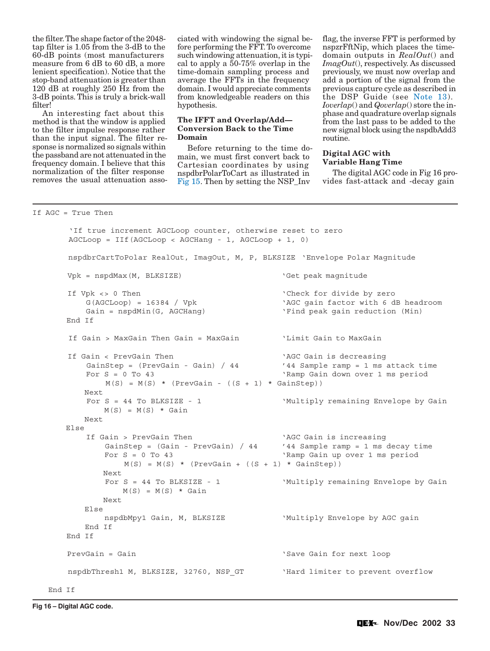<span id="page-6-0"></span>the filter. The shape factor of the 2048 tap filter is 1.05 from the 3-dB to the 60-dB points (most manufacturers measure from 6 dB to 60 dB, a more lenient specification). Notice that the stop-band attenuation is greater than 120 dB at roughly 250 Hz from the 3-dB points. This is truly a brick-wall filter!

An interesting fact about this method is that the window is applied to the filter impulse response rather than the input signal. The filter response is normalized so signals within the passband are not attenuated in the frequency domain. I believe that this normalization of the filter response removes the usual attenuation asso-

ciated with windowing the signal before performing the FFT. To overcome such windowing attenuation, it is typical to apply a 50-75% overlap in the time-domain sampling process and average the FFTs in the frequency domain. I would appreciate comments from knowledgeable readers on this hypothesis.

# **The IFFT and Overlap/Add— Conversion Back to the Time Domain**

Before returning to the time domain, we must first convert back to Cartesian coordinates by using nspdbrPolarToCart as illustrated in [Fig 15.](#page-5-0) Then by setting the NSP\_Inv

flag, the inverse FFT is performed by nspzrFftNip, which places the timedomain outputs in *RealOut*() and *ImagOut*(), respectively. As discussed previously, we must now overlap and add a portion of the signal from the previous capture cycle as described in the DSP Guide (see [Note 13\).](#page-9-0) *Ioverlap*() and *Qoverlap*() store the inphase and quadrature overlap signals from the last pass to be added to the new signal block using the nspdbAdd3 routine.

# **Digital AGC with Variable Hang Time**

The digital AGC code in Fig 16 provides fast-attack and -decay gain

```
If AGC = True Then
```

```
 'If true increment AGCLoop counter, otherwise reset to zero 
 AGCLoop = IIf(AGCLoop < AGCHang - 1, AGCLoop + 1, 0) 
 nspdbrCartToPolar RealOut, ImagOut, M, P, BLKSIZE 'Envelope Polar Magnitude 
Vpk = nspdMax(M, BLKSIZE) \qquad 'Get peak magnitude
 If Vpk <> 0 Then 'Check for divide by zero 
    G(AGCLoop) = 16384 / Vpk 'AGC gain factor with 6 dB headroom 
   Gain = nspdMin(G, AGCHang) \qquad \qquad 'Find peak gain reduction (Min)
 End If 
 If Gain > MaxGain Then Gain = MaxGain 'Limit Gain to MaxGain 
 If Gain < PrevGain Then 'AGC Gain is decreasing 
   GainStep = (PrevGain - Gain) / 44 '44 Sample ramp = 1 ms attack time
   For S = 0 To 43 \, 'Ramp Gain down over 1 ms period
       M(S) = M(S) * (PrevGain - ((S + 1) * GainStep)) Next 
   For S = 44 To BLKSIZE - 1 	 Wultiply remaining Envelope by Gain
      M(S) = M(S) * Gain Next 
 Else 
    If Gain > PrevGain Then 'AGC Gain is increasing 
       GainStep = (Gain - PrevGain) / 44 '44 Sample ramp = 1 ms decay time
        For S = 0 To 43 'Ramp Gain up over 1 ms period 
          M(S) = M(S) * (PrevGain + ((S + 1) * GainStep)) Next 
       For S = 44 To BLKSIZE - 1 Wultiply remaining Envelope by Gain
          M(S) = M(S) * Gain Next 
    Else 
       nspdbMpy1 Gain, M, BLKSIZE 'Wultiply Envelope by AGC gain
    End If 
 End If 
PrevGain = Gain \sim 'Save Gain for next loop
nspdbThresh1 M, BLKSIZE, 32760, NSP_GT WHard limiter to prevent overflow
```
End If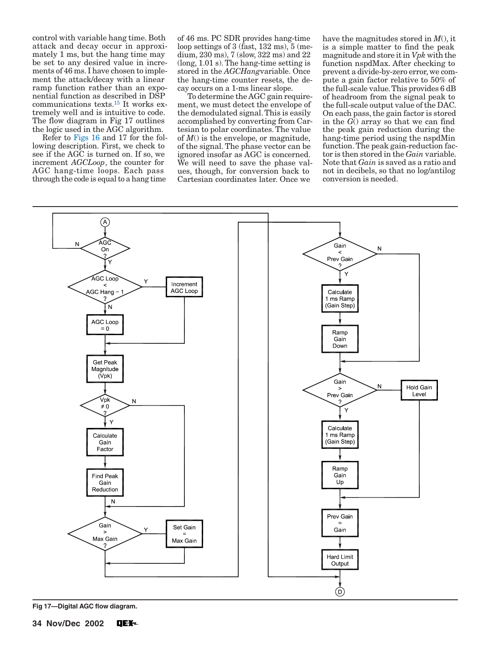control with variable hang time. Both attack and decay occur in approximately 1 ms, but the hang time may be set to any desired value in increments of 46 ms. I have chosen to implement the attack/decay with a linear ramp function rather than an exponential function as described in DSP communications texts.[15](#page-9-0) It works extremely well and is intuitive to code. The flow diagram in Fig 17 outlines the logic used in the AGC algorithm.

Refer to [Figs 16](#page-6-0) and 17 for the following description. First, we check to see if the AGC is turned on. If so, we increment *AGCLoop*, the counter for AGC hang-time loops. Each pass through the code is equal to a hang time

of 46 ms. PC SDR provides hang-time loop settings of 3 (fast,  $132 \text{ ms}$ ),  $5 \text{ (me-}$ dium, 230 ms), 7 (slow, 322 ms) and 22 (long, 1.01 s). The hang-time setting is stored in the *AGCHang*variable. Once the hang-time counter resets, the decay occurs on a 1-ms linear slope.

To determine the AGC gain requirement, we must detect the envelope of the demodulated signal. This is easily accomplished by converting from Cartesian to polar coordinates. The value of *M*() is the envelope, or magnitude, of the signal. The phase vector can be ignored insofar as AGC is concerned. We will need to save the phase values, though, for conversion back to Cartesian coordinates later. Once we

have the magnitudes stored in *M*(), it is a simple matter to find the peak magnitude and store it in *Vpk* with the function nspdMax. After checking to prevent a divide-by-zero error, we compute a gain factor relative to 50% of the full-scale value. This provides 6 dB of headroom from the signal peak to the full-scale output value of the DAC. On each pass, the gain factor is stored in the  $\overline{G}$ ) array so that we can find the peak gain reduction during the hang-time period using the nspdMin function. The peak gain-reduction factor is then stored in the *Gain* variable. Note that *Gain* is saved as a ratio and not in decibels, so that no log/antilog conversion is needed.



**Fig 17—Digital AGC flow diagram.**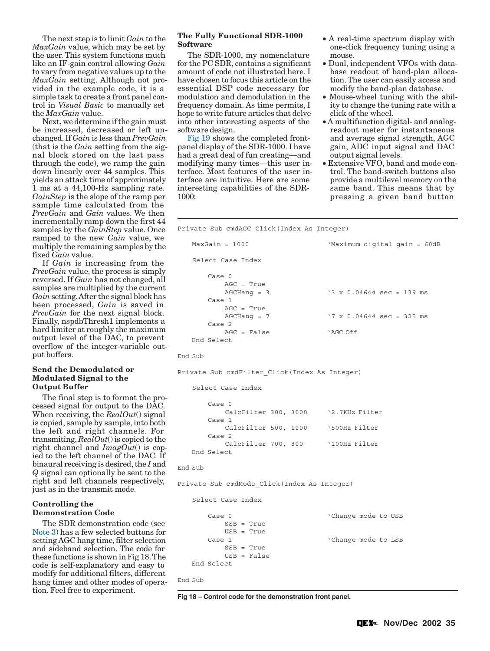The next step is to limit *Gain* to the *MaxGain* value, which may be set by the user. This system functions much like an IF-gain control allowing *Gain* to vary from negative values up to the *MaxGain* setting. Although not provided in the example code, it is a simple task to create a front panel control in *Visual Basic* to manually set the *MaxGain* value.

Next, we determine if the gain must be increased, decreased or left unchanged. If *Gain* is less than *PrevGain* (that is the *Gain* setting from the signal block stored on the last pass through the code), we ramp the gain down linearly over 44 samples. This yields an attack time of approximately 1 ms at a 44,100-Hz sampling rate. *GainStep* is the slope of the ramp per sample time calculated from the *PrevGain* and *Gain* values. We then incrementally ramp down the first 44 samples by the *GainStep* value. Once ramped to the new *Gain* value, we multiply the remaining samples by the fixed *Gain* value.

If *Gain* is increasing from the *PrevGain* value, the process is simply reversed. If *Gain* has not changed, all samples are multiplied by the current *Gain* setting. After the signal block has been processed, *Gain* is saved in *PrevGain* for the next signal block. Finally, nspdbThresh1 implements a hard limiter at roughly the maximum output level of the DAC, to prevent overflow of the integer-variable output buffers.

## **Send the Demodulated or Modulated Signal to the Output Buffer**

The final step is to format the processed signal for output to the DAC. When receiving, the *RealOut*() signal is copied, sample by sample, into both the left and right channels. For transmiting, *RealOut*() is copied to the right channel and *ImagOut*() is copied to the left channel of the DAC. If binaural receiving is desired, the *I* and *Q* signal can optionally be sent to the right and left channels respectively, just as in the transmit mode.

# **Controlling the Demonstration Code**

The SDR demonstration code (see [Note 3\)](#page-9-0) has a few selected buttons for setting AGC hang time, filter selection and sideband selection. The code for these functions is shown in Fig 18. The code is self-explanatory and easy to modify for additional filters, different hang times and other modes of operation. Feel free to experiment.

# **The Fully Functional SDR-1000 Software**

The SDR-1000, my nomenclature for the PC SDR, contains a significant amount of code not illustrated here. I have chosen to focus this article on the essential DSP code necessary for modulation and demodulation in the frequency domain. As time permits, I hope to write future articles that delve into other interesting aspects of the software design.

[Fig 19](#page-9-0) shows the completed frontpanel display of the SDR-1000. I have had a great deal of fun creating—and modifying many times—this user interface. Most features of the user interface are intuitive. Here are some interesting capabilities of the SDR-1000:

- A real-time spectrum display with one-click frequency tuning using a mouse.
- Dual, independent VFOs with database readout of band-plan allocation. The user can easily access and modify the band-plan database.
- Mouse-wheel tuning with the ability to change the tuning rate with a click of the wheel.
- A multifunction digital- and analogreadout meter for instantaneous and average signal strength, AGC gain, ADC input signal and DAC output signal levels.
- Extensive VFO, band and mode control. The band-switch buttons also provide a multilevel memory on the same band. This means that by pressing a given band button

Private Sub cmdAGC\_Click(Index As Integer)

```
 MaxGain = 1000 'Maximum digital gain = 60dB 
    Select Case Index 
        Case 0 
           AGC = True 
          AGCHang = 3 \text{°}3 \times 0.04644 \text{ sec} = 139 \text{ ms} Case 1 
           AGC = True 
           AGCHang = 7 '7 x 0.04644 sec = 325 ms 
       Case 2
           AGC = False 'AGC Off 
    End Select 
End Sub 
Private Sub cmdFilter_Click(Index As Integer) 
    Select Case Index 
        Case 0 
           CalcFilter 300, 3000 '2.7KHz Filter 
        Case 1 
           CalcFilter 500, 1000 '500Hz Filter 
        Case 2 
           CalcFilter 700, 800 '100Hz Filter 
    End Select 
End Sub 
Private Sub cmdMode_Click(Index As Integer) 
    Select Case Index 
       Case 0 'Change mode to USB
          SSB = True USB = True 
       Case 1 \qquad 'Change mode to LSB
           SSB = True 
            USB = False 
    End Select 
End Sub
```
**Fig 18 – Control code for the demonstration front panel.**